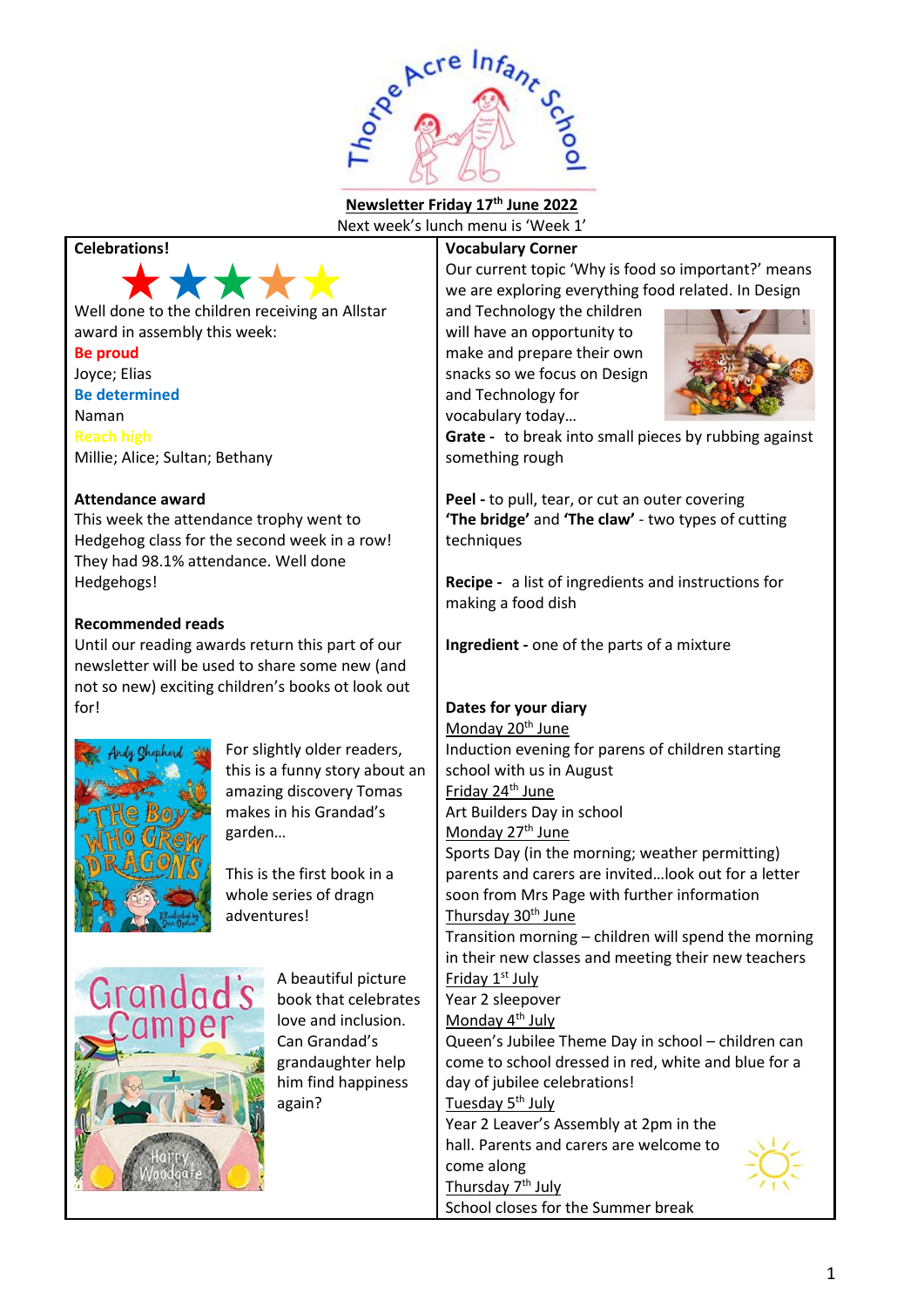

**Newsletter Friday 17 th June 2022** Next week's lunch menu is 'Week 1'

## **Celebrations!**



Well done to the children receiving an Allstar award in assembly this week:

**Be proud** Joyce; Elias **Be determined** Naman **Reach high** Millie; Alice; Sultan; Bethany

## **Attendance award**

This week the attendance trophy went to Hedgehog class for the second week in a row! They had 98.1% attendance. Well done Hedgehogs!

## **Recommended reads**

Until our reading awards return this part of our newsletter will be used to share some new (and not so new) exciting children's books ot look out for!



For slightly older readers, this is a funny story about an amazing discovery Tomas makes in his Grandad's garden…

This is the first book in a whole series of dragn adventures!



A beautiful picture book that celebrates love and inclusion. Can Grandad's grandaughter help him find happiness again?

## **Vocabulary Corner**

Our current topic 'Why is food so important?' means we are exploring everything food related. In Design

and Technology the children will have an opportunity to make and prepare their own snacks so we focus on Design and Technology for vocabulary today…



**Grate -** to break into small pieces by rubbing against something rough

**Peel -** to pull, tear, or cut an outer covering **'The bridge'** and **'The claw'** - two types of cutting techniques

**Recipe -** a list of ingredients and instructions for making a food dish

**Ingredient -** one of the parts of a mixture

## **Dates for your diary**

Monday 20<sup>th</sup> June Induction evening for parens of children starting school with us in August Friday 24<sup>th</sup> June Art Builders Day in school Monday 27<sup>th</sup> June Sports Day (in the morning; weather permitting) parents and carers are invited…look out for a letter soon from Mrs Page with further information Thursday 30<sup>th</sup> June Transition morning – children will spend the morning in their new classes and meeting their new teachers Friday 1st July Year 2 sleepover Monday 4<sup>th</sup> July Queen's Jubilee Theme Day in school – children can come to school dressed in red, white and blue for a day of jubilee celebrations! Tuesday 5<sup>th</sup> July Year 2 Leaver's Assembly at 2pm in the hall. Parents and carers are welcome to come along Thursday 7<sup>th</sup> July School closes for the Summer break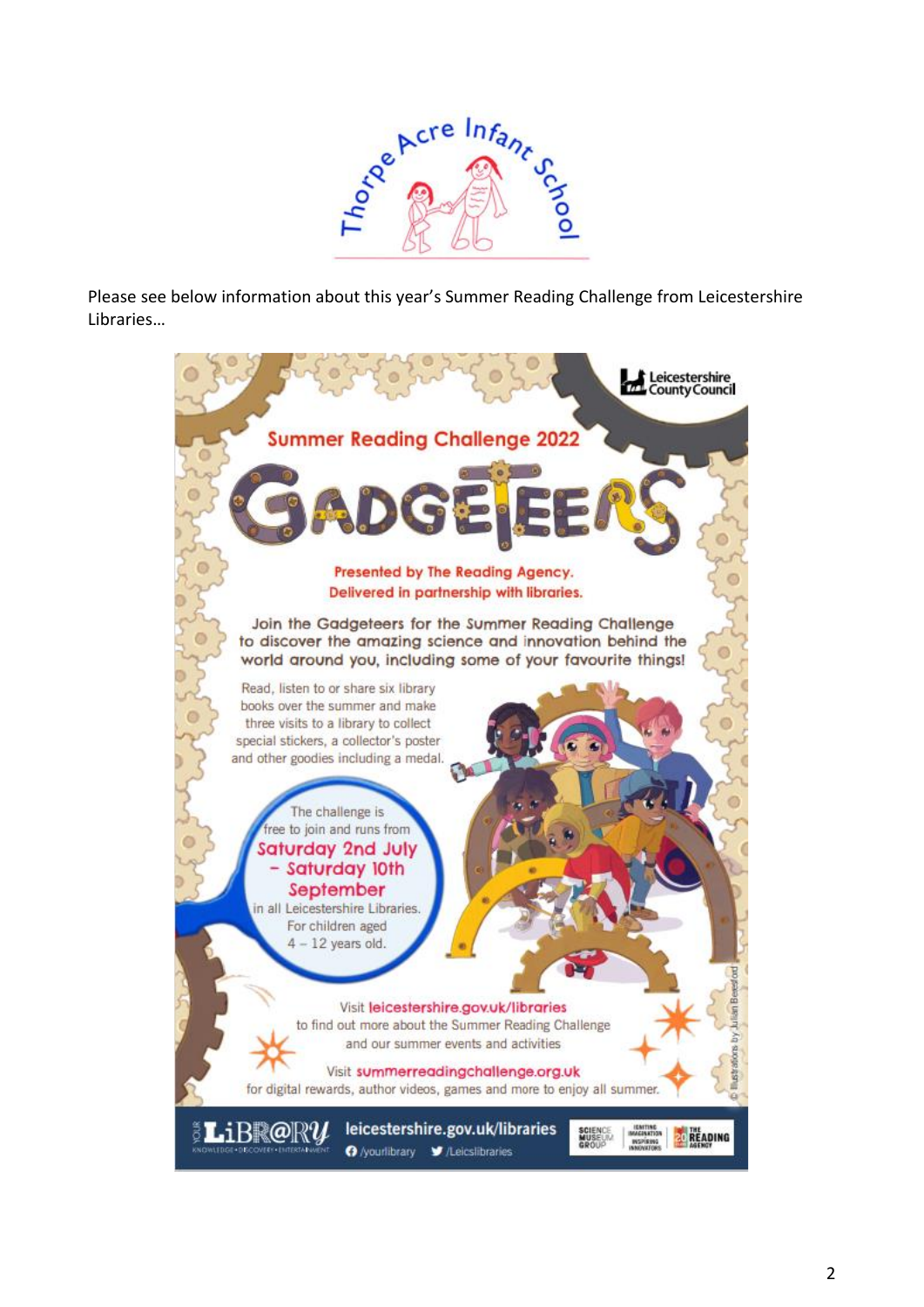

Please see below information about this year's Summer Reading Challenge from Leicestershire Libraries…